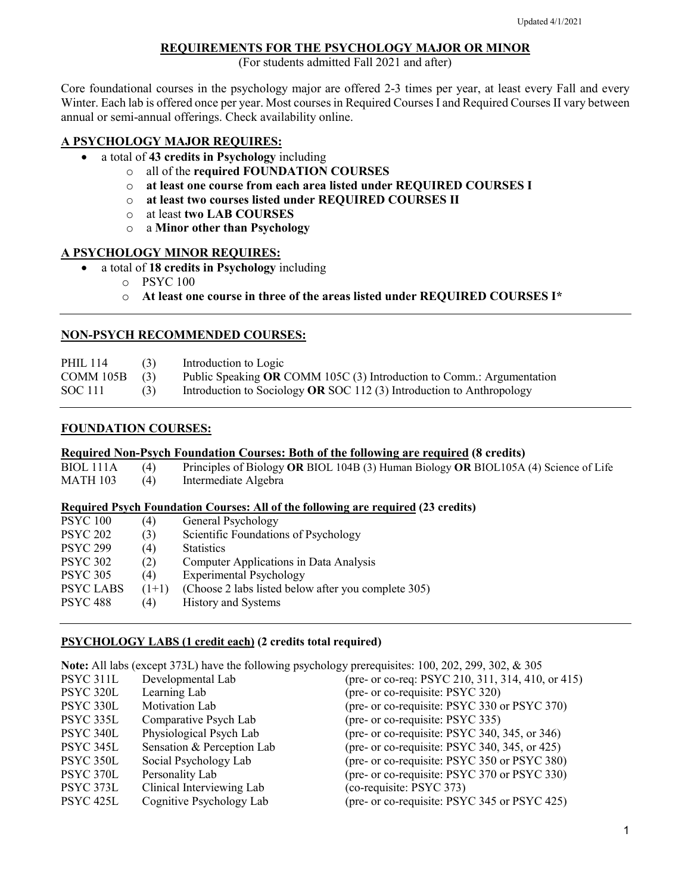#### **REQUIREMENTS FOR THE PSYCHOLOGY MAJOR OR MINOR**

(For students admitted Fall 2021 and after)

Core foundational courses in the psychology major are offered 2-3 times per year, at least every Fall and every Winter. Each lab is offered once per year. Most courses in Required Courses I and Required Courses II vary between annual or semi-annual offerings. Check availability online.

#### **A PSYCHOLOGY MAJOR REQUIRES:**

- a total of **43 credits in Psychology** including
	- o all of the **required FOUNDATION COURSES**
	- o **at least one course from each area listed under REQUIRED COURSES I**
	- o **at least two courses listed under REQUIRED COURSES II**
	- o at least **two LAB COURSES**
	- o a **Minor other than Psychology**

#### **A PSYCHOLOGY MINOR REQUIRES:**

- a total of **18 credits in Psychology** including
	- o PSYC 100
	- o **At least one course in three of the areas listed under REQUIRED COURSES I\***

## **NON-PSYCH RECOMMENDED COURSES:**

| <b>PHIL 114</b> | (3) | Introduction to Logic                                                 |
|-----------------|-----|-----------------------------------------------------------------------|
| COMM $105B$ (3) |     | Public Speaking OR COMM 105C (3) Introduction to Comm.: Argumentation |
| SOC 111         | (3) | Introduction to Sociology OR SOC 112 (3) Introduction to Anthropology |

## **FOUNDATION COURSES:**

#### **Required Non-Psych Foundation Courses: Both of the following are required (8 credits)**

BIOL 111A (4) Principles of Biology **OR** BIOL 104B (3) Human Biology **OR** BIOL105A (4) Science of Life

Intermediate Algebra

#### **Required Psych Foundation Courses: All of the following are required (23 credits)**

| <b>PSYC 100</b>  | (4)     | General Psychology                                  |
|------------------|---------|-----------------------------------------------------|
| <b>PSYC 202</b>  | (3)     | Scientific Foundations of Psychology                |
| <b>PSYC 299</b>  | (4)     | <b>Statistics</b>                                   |
| <b>PSYC 302</b>  | (2)     | Computer Applications in Data Analysis              |
| <b>PSYC 305</b>  | (4)     | <b>Experimental Psychology</b>                      |
| <b>PSYC LABS</b> | $(1+1)$ | (Choose 2 labs listed below after you complete 305) |
| <b>PSYC 488</b>  | (4)     | History and Systems                                 |

#### **PSYCHOLOGY LABS (1 credit each) (2 credits total required)**

| Note: All labs (except 373L) have the following psychology prerequisites: 100, 202, 299, 302, & 305 |                            |                                                   |  |  |  |
|-----------------------------------------------------------------------------------------------------|----------------------------|---------------------------------------------------|--|--|--|
| PSYC 311L                                                                                           | Developmental Lab          | (pre- or co-req: PSYC 210, 311, 314, 410, or 415) |  |  |  |
| <b>PSYC 320L</b>                                                                                    | Learning Lab               | (pre- or co-requisite: PSYC 320)                  |  |  |  |
| PSYC 330L                                                                                           | Motivation Lab             | (pre- or co-requisite: PSYC 330 or PSYC 370)      |  |  |  |
| PSYC 335L                                                                                           | Comparative Psych Lab      | (pre- or co-requisite: PSYC 335)                  |  |  |  |
| PSYC 340L                                                                                           | Physiological Psych Lab    | (pre- or co-requisite: PSYC 340, 345, or 346)     |  |  |  |
| PSYC 345L                                                                                           | Sensation & Perception Lab | (pre- or co-requisite: PSYC 340, 345, or 425)     |  |  |  |
| PSYC 350L                                                                                           | Social Psychology Lab      | (pre- or co-requisite: PSYC 350 or PSYC 380)      |  |  |  |
| PSYC 370L                                                                                           | Personality Lab            | (pre- or co-requisite: PSYC 370 or PSYC 330)      |  |  |  |
| PSYC 373L                                                                                           | Clinical Interviewing Lab  | (co-requisite: PSYC 373)                          |  |  |  |
| PSYC <sub>425</sub> L                                                                               | Cognitive Psychology Lab   | (pre- or co-requisite: PSYC 345 or PSYC 425)      |  |  |  |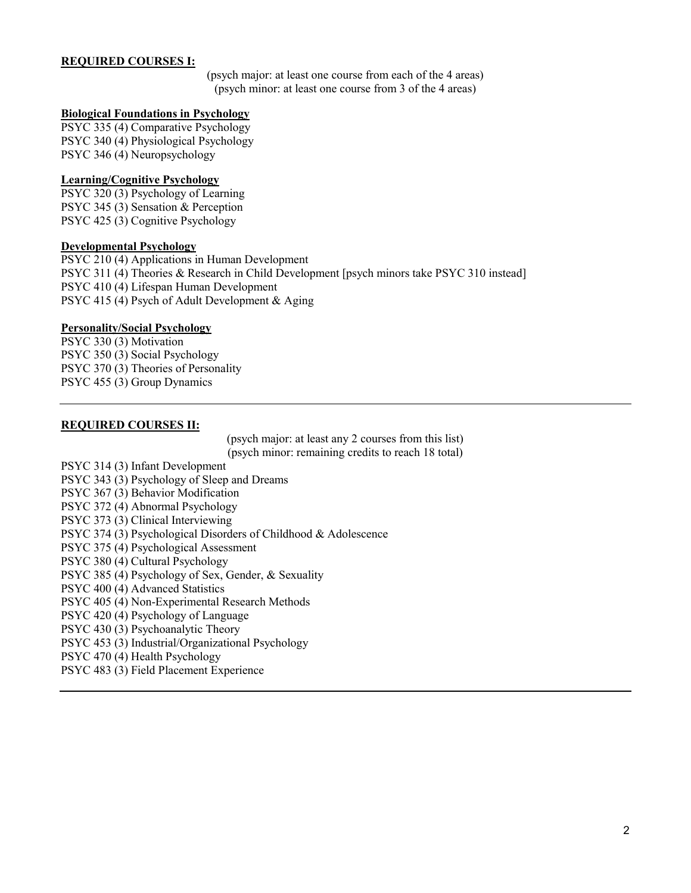#### **REQUIRED COURSES I:**

(psych major: at least one course from each of the 4 areas) (psych minor: at least one course from 3 of the 4 areas)

#### **Biological Foundations in Psychology**

PSYC 335 (4) Comparative Psychology PSYC 340 (4) Physiological Psychology PSYC 346 (4) Neuropsychology

#### **Learning/Cognitive Psychology**

PSYC 320 (3) Psychology of Learning PSYC 345 (3) Sensation & Perception PSYC 425 (3) Cognitive Psychology

#### **Developmental Psychology**

PSYC 210 (4) Applications in Human Development PSYC 311 (4) Theories & Research in Child Development [psych minors take PSYC 310 instead] PSYC 410 (4) Lifespan Human Development PSYC 415 (4) Psych of Adult Development & Aging

### **Personality/Social Psychology**

PSYC 330 (3) Motivation PSYC 350 (3) Social Psychology PSYC 370 (3) Theories of Personality PSYC 455 (3) Group Dynamics

### **REQUIRED COURSES II:**

(psych major: at least any 2 courses from this list) (psych minor: remaining credits to reach 18 total)

PSYC 314 (3) Infant Development PSYC 343 (3) Psychology of Sleep and Dreams PSYC 367 (3) Behavior Modification PSYC 372 (4) Abnormal Psychology PSYC 373 (3) Clinical Interviewing PSYC 374 (3) Psychological Disorders of Childhood & Adolescence PSYC 375 (4) Psychological Assessment PSYC 380 (4) Cultural Psychology PSYC 385 (4) Psychology of Sex, Gender, & Sexuality PSYC 400 (4) Advanced Statistics PSYC 405 (4) Non-Experimental Research Methods PSYC 420 (4) Psychology of Language PSYC 430 (3) Psychoanalytic Theory PSYC 453 (3) Industrial/Organizational Psychology PSYC 470 (4) Health Psychology PSYC 483 (3) Field Placement Experience